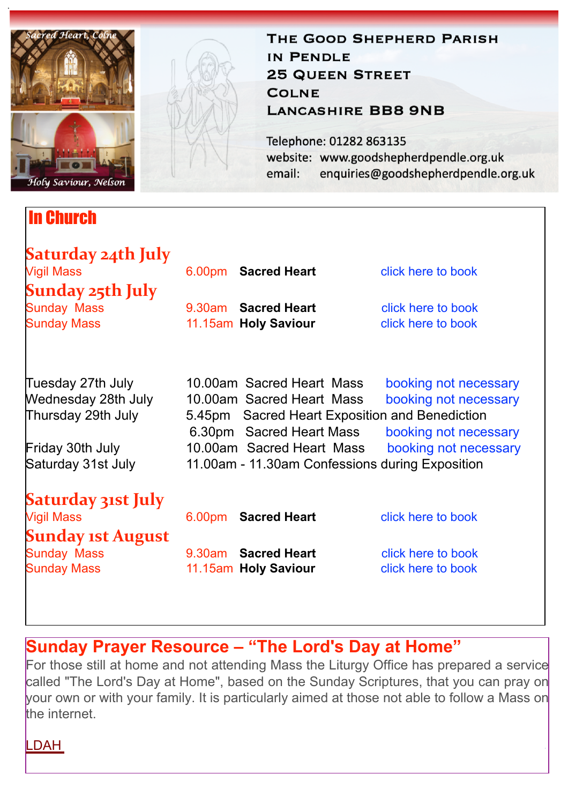

### In Church

# **Saturday 24th July**

6.00pm **Sacred Heart [click here to book](https://www.eventbrite.co.uk/e/162694438445)** 

**Sunday 25th July**<br>Sunday Mass

9.30am **Sacred Heart [click here to book](https://www.eventbrite.co.uk/e/162694586889)** Sunday Mass 11.15am **Holy Saviour** [click here to book](https://www.eventbrite.co.uk/e/162694729315)

enquiries@goodshepherdpendle.org.uk

THE GOOD SHEPHERD PARISH

website: www.goodshepherdpendle.org.uk

IN PENDLE

**COLNE** 

email:

**25 QUEEN STREET** 

Telephone: 01282 863135

**LANCASHIRE BB8 9NB** 

Tuesday 27th July 10.00am Sacred Heart Mass booking not necessary<br>Mednesday 28th July 10.00am Sacred Heart Mass booking not necessary 10.00am Sacred Heart Mass booking not necessary Thursday 29th July 5.45pm Sacred Heart Exposition and Benediction 6.30pm Sacred Heart Mass booking not necessary Friday 30th July 10.00am Sacred Heart Mass booking not necessary Saturday 31st July 11.00am - 11.30am Confessions during Exposition

## **Saturday 31st July**

**Sunday 1st August**<br>Sunday Mass

Vigil Mass 6.00pm **Sacred Heart** [click here to book](https://www.eventbrite.co.uk/e/164473072387)

9.30am **Sacred Heart Click here to book** Sunday Mass **11.15am Holy Saviour [click here to book](https://www.eventbrite.co.uk/e/164473164663)** 

## **Sunday Prayer Resource – "The Lord's Day at Home"**

For those still at home and not attending Mass the Liturgy Office has prepared a service called "The Lord's Day at Home", based on the Sunday Scriptures, that you can pray on your own or with your family. It is particularly aimed at those not able to follow a Mass on the internet.

[LDAH](https://gbr01.safelinks.protection.outlook.com/?url=https%3A%2F%2Fdioceseofsalford.us6.list-manage.com%2Ftrack%2Fclick%3Fu%3D76e219dab8653b775ba8aac4c%26id%3Dfe953a33b6%26e%3D5ce69633f0&data=04%7C01%7Cpeter.wilkinson%40dioceseofsalford.org.uk%7C5fa2b215e82b48ebbf0c08d94c2012f2%7C699a61ae142a45a090c604b2f08de19b%7C0%7C0%7C637624522899184790%7CUnknown%7CTWFpbGZsb3d8eyJWIjoiMC4wLjAwMDAiLCJQIjoiV2luMzIiLCJBTiI6Ik1haWwiLCJXVCI6Mn0%3D%7C1000&sdata=cPHGy6L8jKNtIJRJEtQd2xVdBnKRyDHaYKM5FWVUIQs%3D&reserved=0)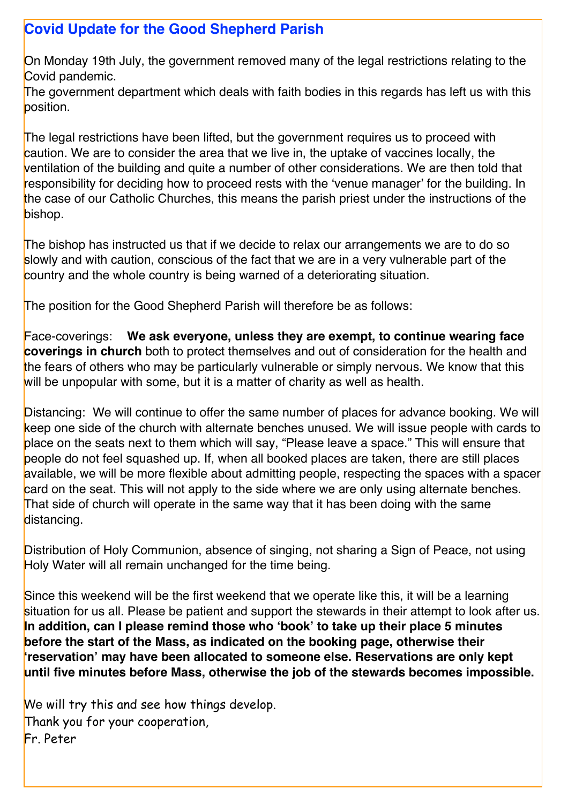#### **Covid Update for the Good Shepherd Parish**

On Monday 19th July, the government removed many of the legal restrictions relating to the Covid pandemic.

The government department which deals with faith bodies in this regards has left us with this position.

The legal restrictions have been lifted, but the government requires us to proceed with caution. We are to consider the area that we live in, the uptake of vaccines locally, the ventilation of the building and quite a number of other considerations. We are then told that responsibility for deciding how to proceed rests with the 'venue manager' for the building. In the case of our Catholic Churches, this means the parish priest under the instructions of the bishop.

The bishop has instructed us that if we decide to relax our arrangements we are to do so slowly and with caution, conscious of the fact that we are in a very vulnerable part of the country and the whole country is being warned of a deteriorating situation.

The position for the Good Shepherd Parish will therefore be as follows:

Face-coverings: **We ask everyone, unless they are exempt, to continue wearing face coverings in church** both to protect themselves and out of consideration for the health and the fears of others who may be particularly vulnerable or simply nervous. We know that this will be unpopular with some, but it is a matter of charity as well as health.

Distancing: We will continue to offer the same number of places for advance booking. We will keep one side of the church with alternate benches unused. We will issue people with cards to place on the seats next to them which will say, "Please leave a space." This will ensure that people do not feel squashed up. If, when all booked places are taken, there are still places available, we will be more flexible about admitting people, respecting the spaces with a spacer card on the seat. This will not apply to the side where we are only using alternate benches. That side of church will operate in the same way that it has been doing with the same distancing.

Distribution of Holy Communion, absence of singing, not sharing a Sign of Peace, not using Holy Water will all remain unchanged for the time being.

Since this weekend will be the first weekend that we operate like this, it will be a learning situation for us all. Please be patient and support the stewards in their attempt to look after us. **In addition, can I please remind those who 'book' to take up their place 5 minutes before the start of the Mass, as indicated on the booking page, otherwise their 'reservation' may have been allocated to someone else. Reservations are only kept until five minutes before Mass, otherwise the job of the stewards becomes impossible.**

We will try this and see how things develop. Thank you for your cooperation, Fr. Peter